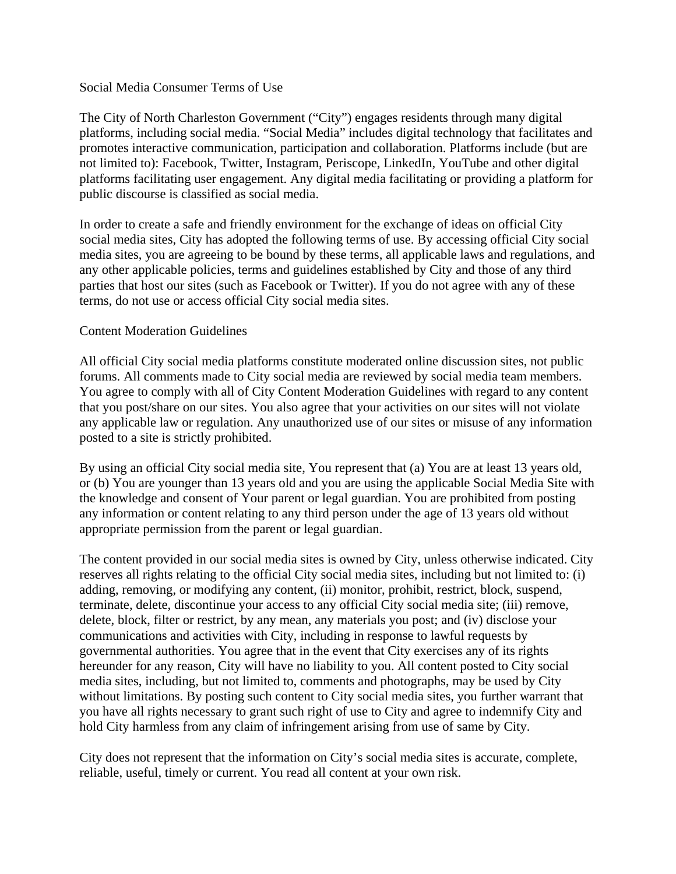### Social Media Consumer Terms of Use

The City of North Charleston Government ("City") engages residents through many digital platforms, including social media. "Social Media" includes digital technology that facilitates and promotes interactive communication, participation and collaboration. Platforms include (but are not limited to): Facebook, Twitter, Instagram, Periscope, LinkedIn, YouTube and other digital platforms facilitating user engagement. Any digital media facilitating or providing a platform for public discourse is classified as social media.

In order to create a safe and friendly environment for the exchange of ideas on official City social media sites, City has adopted the following terms of use. By accessing official City social media sites, you are agreeing to be bound by these terms, all applicable laws and regulations, and any other applicable policies, terms and guidelines established by City and those of any third parties that host our sites (such as Facebook or Twitter). If you do not agree with any of these terms, do not use or access official City social media sites.

## Content Moderation Guidelines

All official City social media platforms constitute moderated online discussion sites, not public forums. All comments made to City social media are reviewed by social media team members. You agree to comply with all of City Content Moderation Guidelines with regard to any content that you post/share on our sites. You also agree that your activities on our sites will not violate any applicable law or regulation. Any unauthorized use of our sites or misuse of any information posted to a site is strictly prohibited.

By using an official City social media site, You represent that (a) You are at least 13 years old, or (b) You are younger than 13 years old and you are using the applicable Social Media Site with the knowledge and consent of Your parent or legal guardian. You are prohibited from posting any information or content relating to any third person under the age of 13 years old without appropriate permission from the parent or legal guardian.

The content provided in our social media sites is owned by City, unless otherwise indicated. City reserves all rights relating to the official City social media sites, including but not limited to: (i) adding, removing, or modifying any content, (ii) monitor, prohibit, restrict, block, suspend, terminate, delete, discontinue your access to any official City social media site; (iii) remove, delete, block, filter or restrict, by any mean, any materials you post; and (iv) disclose your communications and activities with City, including in response to lawful requests by governmental authorities. You agree that in the event that City exercises any of its rights hereunder for any reason, City will have no liability to you. All content posted to City social media sites, including, but not limited to, comments and photographs, may be used by City without limitations. By posting such content to City social media sites, you further warrant that you have all rights necessary to grant such right of use to City and agree to indemnify City and hold City harmless from any claim of infringement arising from use of same by City.

City does not represent that the information on City's social media sites is accurate, complete, reliable, useful, timely or current. You read all content at your own risk.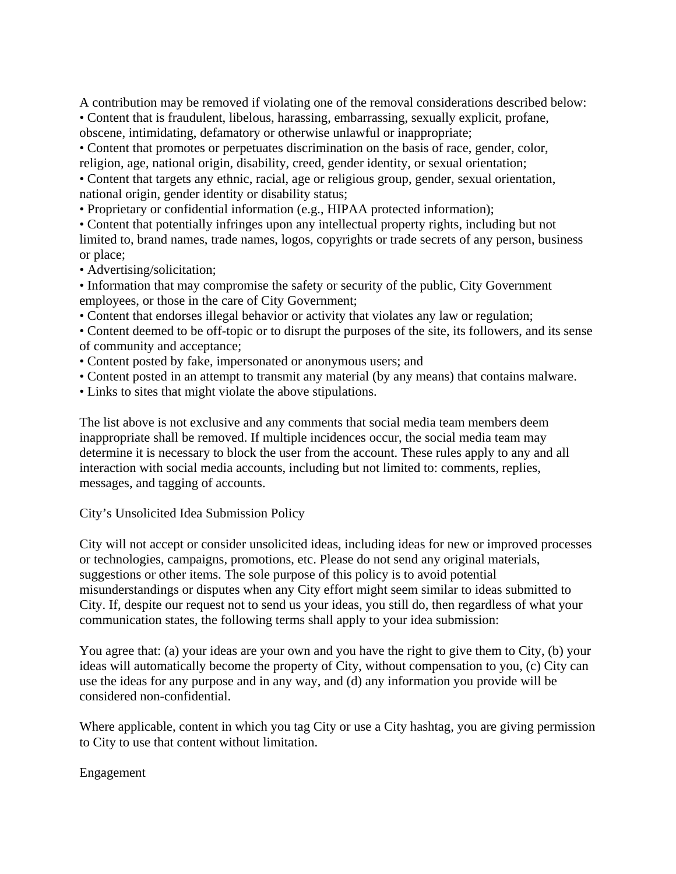A contribution may be removed if violating one of the removal considerations described below: • Content that is fraudulent, libelous, harassing, embarrassing, sexually explicit, profane, obscene, intimidating, defamatory or otherwise unlawful or inappropriate;

• Content that promotes or perpetuates discrimination on the basis of race, gender, color, religion, age, national origin, disability, creed, gender identity, or sexual orientation; • Content that targets any ethnic, racial, age or religious group, gender, sexual orientation, national origin, gender identity or disability status;

• Proprietary or confidential information (e.g., HIPAA protected information);

• Content that potentially infringes upon any intellectual property rights, including but not limited to, brand names, trade names, logos, copyrights or trade secrets of any person, business or place;

• Advertising/solicitation;

• Information that may compromise the safety or security of the public, City Government employees, or those in the care of City Government;

• Content that endorses illegal behavior or activity that violates any law or regulation;

• Content deemed to be off-topic or to disrupt the purposes of the site, its followers, and its sense of community and acceptance;

- Content posted by fake, impersonated or anonymous users; and
- Content posted in an attempt to transmit any material (by any means) that contains malware.
- Links to sites that might violate the above stipulations.

The list above is not exclusive and any comments that social media team members deem inappropriate shall be removed. If multiple incidences occur, the social media team may determine it is necessary to block the user from the account. These rules apply to any and all interaction with social media accounts, including but not limited to: comments, replies, messages, and tagging of accounts.

# City's Unsolicited Idea Submission Policy

City will not accept or consider unsolicited ideas, including ideas for new or improved processes or technologies, campaigns, promotions, etc. Please do not send any original materials, suggestions or other items. The sole purpose of this policy is to avoid potential misunderstandings or disputes when any City effort might seem similar to ideas submitted to City. If, despite our request not to send us your ideas, you still do, then regardless of what your communication states, the following terms shall apply to your idea submission:

You agree that: (a) your ideas are your own and you have the right to give them to City, (b) your ideas will automatically become the property of City, without compensation to you, (c) City can use the ideas for any purpose and in any way, and (d) any information you provide will be considered non-confidential.

Where applicable, content in which you tag City or use a City hashtag, you are giving permission to City to use that content without limitation.

Engagement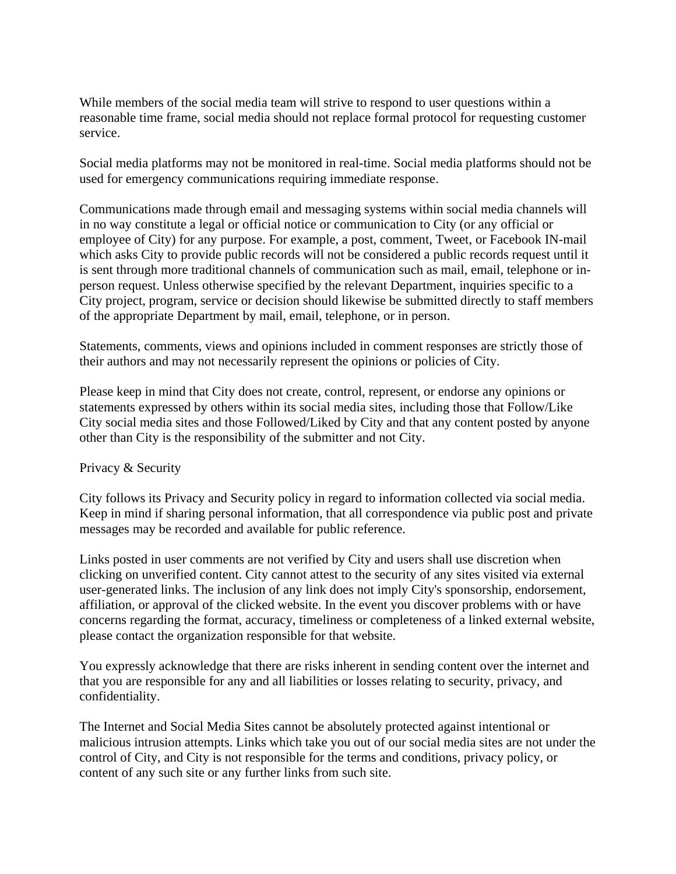While members of the social media team will strive to respond to user questions within a reasonable time frame, social media should not replace formal protocol for requesting customer service.

Social media platforms may not be monitored in real-time. Social media platforms should not be used for emergency communications requiring immediate response.

Communications made through email and messaging systems within social media channels will in no way constitute a legal or official notice or communication to City (or any official or employee of City) for any purpose. For example, a post, comment, Tweet, or Facebook IN-mail which asks City to provide public records will not be considered a public records request until it is sent through more traditional channels of communication such as mail, email, telephone or inperson request. Unless otherwise specified by the relevant Department, inquiries specific to a City project, program, service or decision should likewise be submitted directly to staff members of the appropriate Department by mail, email, telephone, or in person.

Statements, comments, views and opinions included in comment responses are strictly those of their authors and may not necessarily represent the opinions or policies of City.

Please keep in mind that City does not create, control, represent, or endorse any opinions or statements expressed by others within its social media sites, including those that Follow/Like City social media sites and those Followed/Liked by City and that any content posted by anyone other than City is the responsibility of the submitter and not City.

### Privacy & Security

City follows its Privacy and Security policy in regard to information collected via social media. Keep in mind if sharing personal information, that all correspondence via public post and private messages may be recorded and available for public reference.

Links posted in user comments are not verified by City and users shall use discretion when clicking on unverified content. City cannot attest to the security of any sites visited via external user-generated links. The inclusion of any link does not imply City's sponsorship, endorsement, affiliation, or approval of the clicked website. In the event you discover problems with or have concerns regarding the format, accuracy, timeliness or completeness of a linked external website, please contact the organization responsible for that website.

You expressly acknowledge that there are risks inherent in sending content over the internet and that you are responsible for any and all liabilities or losses relating to security, privacy, and confidentiality.

The Internet and Social Media Sites cannot be absolutely protected against intentional or malicious intrusion attempts. Links which take you out of our social media sites are not under the control of City, and City is not responsible for the terms and conditions, privacy policy, or content of any such site or any further links from such site.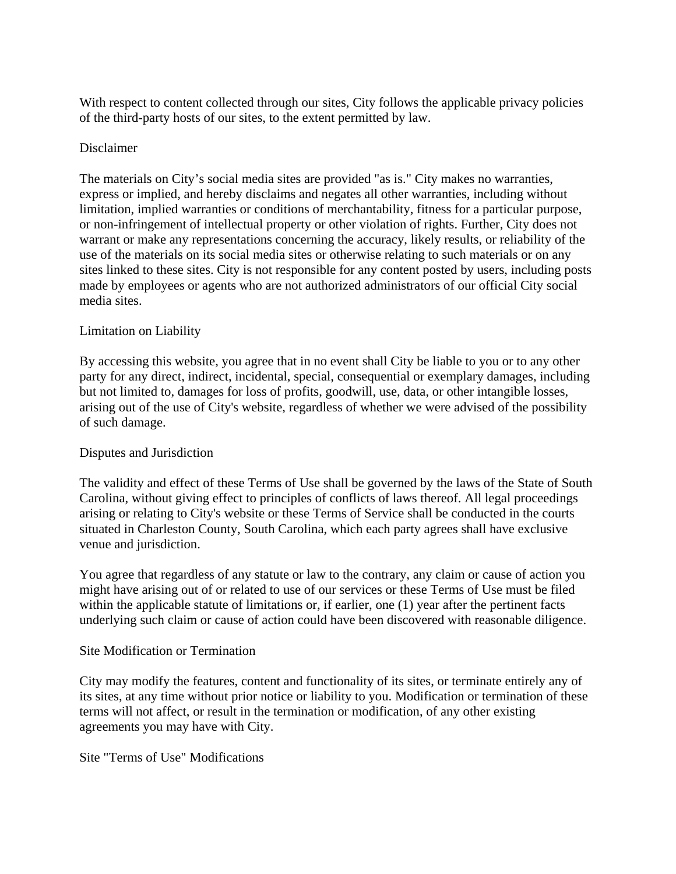With respect to content collected through our sites, City follows the applicable privacy policies of the third-party hosts of our sites, to the extent permitted by law.

## Disclaimer

The materials on City's social media sites are provided "as is." City makes no warranties, express or implied, and hereby disclaims and negates all other warranties, including without limitation, implied warranties or conditions of merchantability, fitness for a particular purpose, or non-infringement of intellectual property or other violation of rights. Further, City does not warrant or make any representations concerning the accuracy, likely results, or reliability of the use of the materials on its social media sites or otherwise relating to such materials or on any sites linked to these sites. City is not responsible for any content posted by users, including posts made by employees or agents who are not authorized administrators of our official City social media sites.

## Limitation on Liability

By accessing this website, you agree that in no event shall City be liable to you or to any other party for any direct, indirect, incidental, special, consequential or exemplary damages, including but not limited to, damages for loss of profits, goodwill, use, data, or other intangible losses, arising out of the use of City's website, regardless of whether we were advised of the possibility of such damage.

### Disputes and Jurisdiction

The validity and effect of these Terms of Use shall be governed by the laws of the State of South Carolina, without giving effect to principles of conflicts of laws thereof. All legal proceedings arising or relating to City's website or these Terms of Service shall be conducted in the courts situated in Charleston County, South Carolina, which each party agrees shall have exclusive venue and jurisdiction.

You agree that regardless of any statute or law to the contrary, any claim or cause of action you might have arising out of or related to use of our services or these Terms of Use must be filed within the applicable statute of limitations or, if earlier, one (1) year after the pertinent facts underlying such claim or cause of action could have been discovered with reasonable diligence.

### Site Modification or Termination

City may modify the features, content and functionality of its sites, or terminate entirely any of its sites, at any time without prior notice or liability to you. Modification or termination of these terms will not affect, or result in the termination or modification, of any other existing agreements you may have with City.

## Site "Terms of Use" Modifications